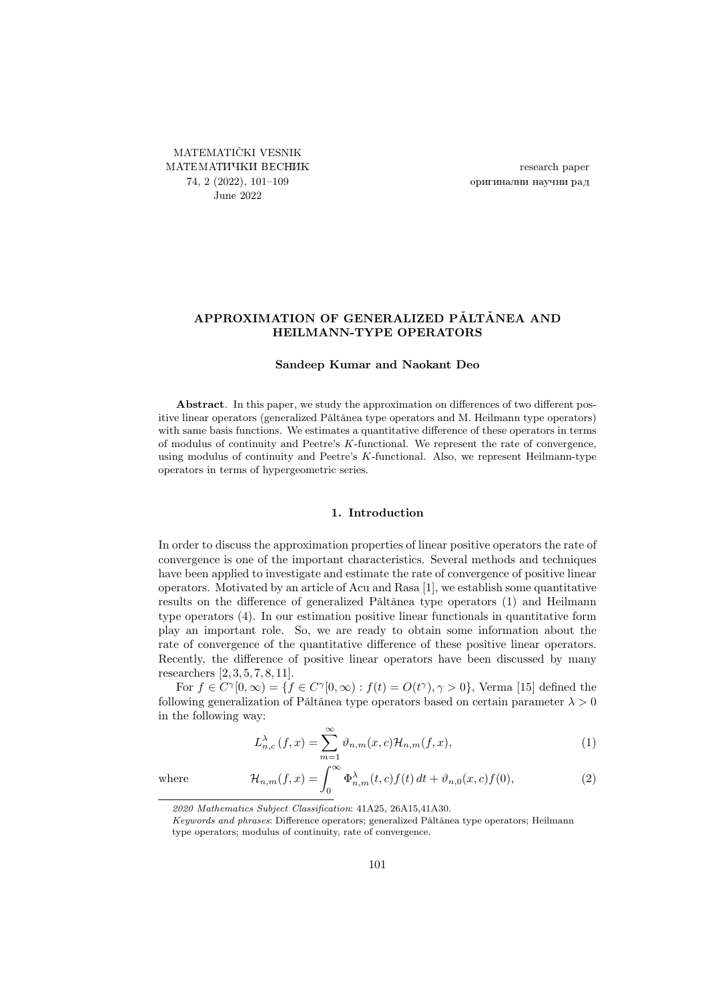<span id="page-0-0"></span>MATEMATIČKI VESNIK МАТЕМАТИЧКИ ВЕСНИК 74, 2 (2022), [101–](#page-0-0)[109](#page-8-0) June 2022

research paper оригинални научни рад

# APPROXIMATION OF GENERALIZED PĂLTĂNEA AND HEILMANN-TYPE OPERATORS

#### Sandeep Kumar and Naokant Deo

Abstract. In this paper, we study the approximation on differences of two different positive linear operators (generalized Pǎltǎnea type operators and M. Heilmann type operators) with same basis functions. We estimates a quantitative difference of these operators in terms of modulus of continuity and Peetre's K-functional. We represent the rate of convergence, using modulus of continuity and Peetre's K-functional. Also, we represent Heilmann-type operators in terms of hypergeometric series.

#### 1. Introduction

In order to discuss the approximation properties of linear positive operators the rate of convergence is one of the important characteristics. Several methods and techniques have been applied to investigate and estimate the rate of convergence of positive linear operators. Motivated by an article of Acu and Rasa [\[1\]](#page-8-1), we establish some quantitative results on the difference of generalized Pǎltǎnea type operators [\(1\)](#page-0-1) and Heilmann type operators [\(4\)](#page-1-0). In our estimation positive linear functionals in quantitative form play an important role. So, we are ready to obtain some information about the rate of convergence of the quantitative difference of these positive linear operators. Recently, the difference of positive linear operators have been discussed by many researchers [\[2,](#page-8-2) [3,](#page-8-3) [5,](#page-8-4) [7,](#page-8-5) [8,](#page-8-6) [11\]](#page-8-7).

For  $f \in C^{\gamma}[0,\infty) = \{f \in C^{\gamma}[0,\infty) : f(t) = O(t^{\gamma}), \gamma > 0\}$ , Verma [\[15\]](#page-8-8) defined the following generalization of Pǎltǎnea type operators based on certain parameter  $\lambda > 0$ in the following way:

$$
L_{n,c}^{\lambda}(f,x) = \sum_{m=1}^{\infty} \vartheta_{n,m}(x,c) \mathcal{H}_{n,m}(f,x),
$$
 (1)

<span id="page-0-2"></span><span id="page-0-1"></span> $\Phi_{n,m}^{\lambda}(t, c) f(t) dt + \vartheta_{n,0}(x, c) f(0),$ (2)

where  $\mathcal{H}_{n,m}(f,x) = \int_0^\infty$ 

<sup>2020</sup> Mathematics Subject Classification: 41A25, 26A15,41A30.

Keywords and phrases: Difference operators; generalized Pǎltǎnea type operators; Heilmann type operators; modulus of continuity, rate of convergence.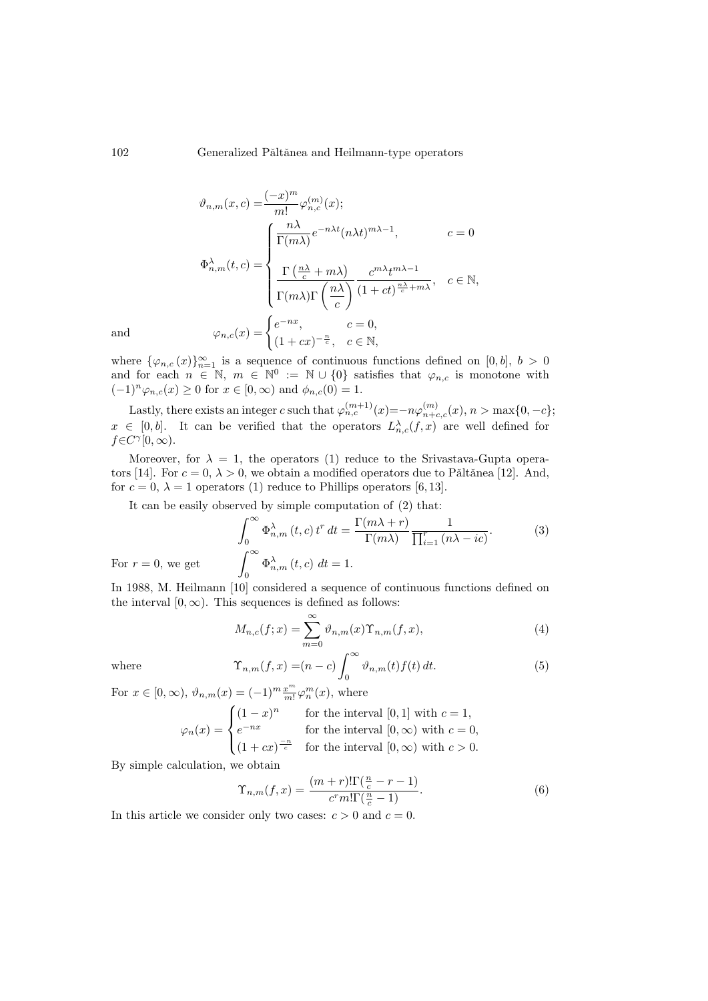$$
\vartheta_{n,m}(x,c) = \frac{(-x)^m}{m!} \varphi_{n,c}^{(m)}(x);
$$
\n
$$
\Phi_{n,m}^{\lambda}(t,c) = \begin{cases}\n\frac{n\lambda}{\Gamma(m\lambda)} e^{-n\lambda t} (n\lambda t)^{m\lambda - 1}, & c = 0 \\
\frac{\Gamma(\frac{n\lambda}{c} + m\lambda)}{\Gamma(m\lambda)\Gamma(\frac{n\lambda}{c})} \frac{c^{m\lambda} t^{m\lambda - 1}}{(1 + ct)^{\frac{n\lambda}{c} + m\lambda}}, & c \in \mathbb{N},\n\end{cases}
$$
\nand\n
$$
\varphi_{n,c}(x) = \begin{cases}\ne^{-nx}, & c = 0, \\
(1 + cx)^{-\frac{n}{c}}, & c \in \mathbb{N},\n\end{cases}
$$

where  $\{\varphi_{n,c}(x)\}_{n=1}^{\infty}$  is a sequence of continuous functions defined on [0, b],  $b > 0$ and for each  $n \in \mathbb{N}$ ,  $m \in \mathbb{N}^0 := \mathbb{N} \cup \{0\}$  satisfies that  $\varphi_{n,c}$  is monotone with  $(-1)^n \varphi_{n,c}(x) \ge 0$  for  $x \in [0,\infty)$  and  $\phi_{n,c}(0) = 1$ .

Lastly, there exists an integer c such that  $\varphi_{n,c}^{(m+1)}(x) = -n\varphi_{n+c,c}^{(m)}(x), n > \max\{0, -c\};$  $x \in [0, b].$  It can be verified that the operators  $L_{n,c}^{\lambda}(f, x)$  are well defined for  $f \in C^{\gamma}[0,\infty)$ .

Moreover, for  $\lambda = 1$ , the operators [\(1\)](#page-0-1) reduce to the Srivastava-Gupta opera-tors [\[14\]](#page-8-9). For  $c = 0, \lambda > 0$ , we obtain a modified operators due to Păltănea [\[12\]](#page-8-10). And, for  $c = 0$ ,  $\lambda = 1$  operators [\(1\)](#page-0-1) reduce to Phillips operators [\[6,](#page-8-11) [13\]](#page-8-12).

It can be easily observed by simple computation of [\(2\)](#page-0-2) that:

$$
\int_0^\infty \Phi_{n,m}^{\lambda}(t,c) t^r dt = \frac{\Gamma(m\lambda+r)}{\Gamma(m\lambda)} \frac{1}{\prod_{i=1}^r (n\lambda - ic)}.
$$
\n(3)\n
$$
\int_0^\infty \Phi_{n,m}^{\lambda}(t,c) dt = 1.
$$

For  $r = 0$ , we get

In 1988, M. Heilmann [\[10\]](#page-8-13) considered a sequence of continuous functions defined on the interval  $[0, \infty)$ . This sequences is defined as follows:

<span id="page-1-1"></span><span id="page-1-0"></span>
$$
M_{n,c}(f;x) = \sum_{m=0}^{\infty} \vartheta_{n,m}(x) \Upsilon_{n,m}(f,x), \tag{4}
$$

where

$$
\Upsilon_{n,m}(f,x) = (n-c)\int_0^\infty \vartheta_{n,m}(t)f(t) dt.
$$
 (5)

For  $x \in [0, \infty)$ ,  $\vartheta_{n,m}(x) = (-1)^m \frac{x^m}{m!} \varphi_n^m(x)$ , where

$$
\varphi_n(x) = \begin{cases}\n(1-x)^n & \text{for the interval } [0,1] \text{ with } c = 1, \\
e^{-nx} & \text{for the interval } [0,\infty) \text{ with } c = 0, \\
(1+cx)^{\frac{-n}{c}} & \text{for the interval } [0,\infty) \text{ with } c > 0.\n\end{cases}
$$

By simple calculation, we obtain

<span id="page-1-2"></span>
$$
\Upsilon_{n,m}(f,x) = \frac{(m+r)!\Gamma(\frac{n}{c} - r - 1)}{c^r m! \Gamma(\frac{n}{c} - 1)}.
$$
\n(6)

In this article we consider only two cases:  $c > 0$  and  $c = 0$ .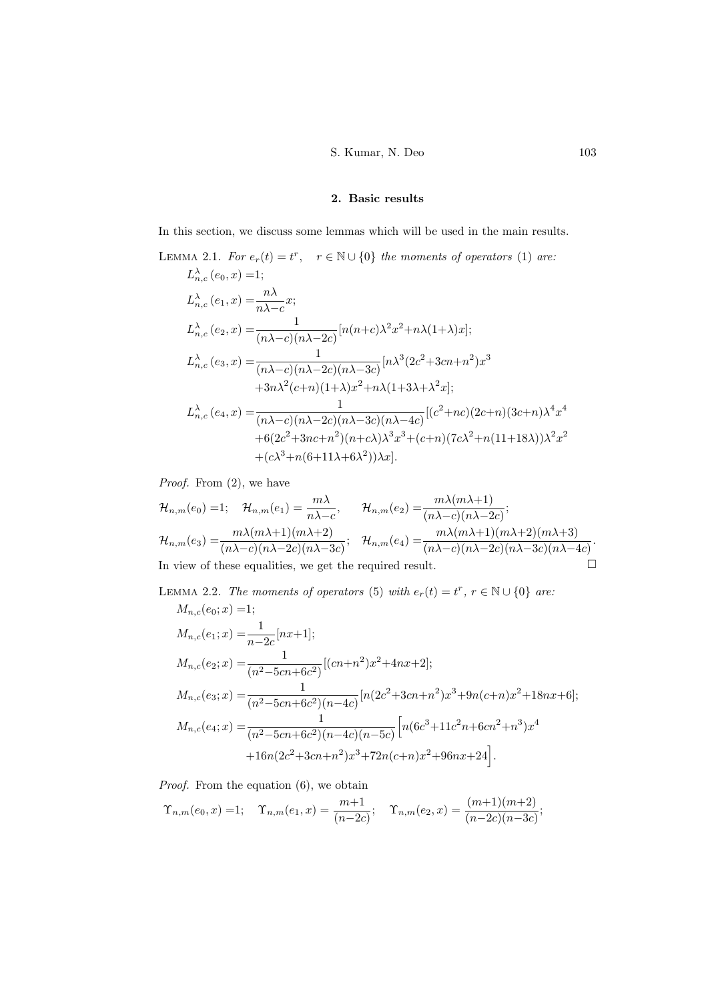# S. Kumar, N. Deo 103

# 2. Basic results

In this section, we discuss some lemmas which will be used in the main results.

LEMMA 2.1. For 
$$
e_r(t) = t^r
$$
,  $r \in \mathbb{N} \cup \{0\}$  the moments of operators (1) are:  
\n
$$
L_{n,c}^{\lambda}(e_0, x) = 1;
$$
\n
$$
L_{n,c}^{\lambda}(e_1, x) = \frac{n\lambda}{n\lambda - c}x;
$$
\n
$$
L_{n,c}^{\lambda}(e_2, x) = \frac{1}{(n\lambda - c)(n\lambda - 2c)}[n(n+c)\lambda^2 x^2 + n\lambda(1+\lambda)x];
$$
\n
$$
L_{n,c}^{\lambda}(e_3, x) = \frac{1}{(n\lambda - c)(n\lambda - 2c)(n\lambda - 3c)}[n\lambda^3(2c^2 + 3cn + n^2)x^3 + 3n\lambda^2(c+n)(1+\lambda)x^2 + n\lambda(1+3\lambda + \lambda^2x];
$$
\n
$$
L_{n,c}^{\lambda}(e_4, x) = \frac{1}{(n\lambda - c)(n\lambda - 2c)(n\lambda - 3c)(n\lambda - 4c)}[(c^2 + nc)(2c+n)(3c+n)\lambda^4 x^4 + 6(2c^2 + 3nc + n^2)(n+c\lambda)\lambda^3 x^3 + (c+n)(7c\lambda^2 + n(11+18\lambda))\lambda^2 x^2 + (c\lambda^3 + n(6+11\lambda + 6\lambda^2))\lambda x].
$$

Proof. From  $(2)$ , we have

$$
\mathcal{H}_{n,m}(e_0) = 1; \quad \mathcal{H}_{n,m}(e_1) = \frac{m\lambda}{n\lambda - c}, \qquad \mathcal{H}_{n,m}(e_2) = \frac{m\lambda(m\lambda + 1)}{(n\lambda - c)(n\lambda - 2c)};
$$
\n
$$
\mathcal{H}_{n,m}(e_3) = \frac{m\lambda(m\lambda + 1)(m\lambda + 2)}{(n\lambda - c)(n\lambda - 2c)(n\lambda - 3c)}; \quad \mathcal{H}_{n,m}(e_4) = \frac{m\lambda(m\lambda + 1)(m\lambda + 2)(m\lambda + 3)}{(n\lambda - c)(n\lambda - 2c)(n\lambda - 3c)(n\lambda - 4c)}.
$$
\nIn view of these equalities, we get the required result.

LEMMA 2.2. The moments of operators [\(5\)](#page-1-1) with  $e_r(t) = t^r$ ,  $r \in \mathbb{N} \cup \{0\}$  are:  $M(\rho_0; r) =1$ ;

$$
M_{n,c}(e_0; x) = 1;
$$
  
\n
$$
M_{n,c}(e_1; x) = \frac{1}{n-2c} [nx+1];
$$
  
\n
$$
M_{n,c}(e_2; x) = \frac{1}{(n^2 - 5cn + 6c^2)} [(cn + n^2)x^2 + 4nx + 2];
$$
  
\n
$$
M_{n,c}(e_3; x) = \frac{1}{(n^2 - 5cn + 6c^2)(n - 4c)} [n(2c^2 + 3cn + n^2)x^3 + 9n(c + n)x^2 + 18nx + 6];
$$
  
\n
$$
M_{n,c}(e_4; x) = \frac{1}{(n^2 - 5cn + 6c^2)(n - 4c)(n - 5c)} [n(6c^3 + 11c^2n + 6cn^2 + n^3)x^4 + 16n(2c^2 + 3cn + n^2)x^3 + 72n(c + n)x^2 + 96nx + 24].
$$

Proof. From the equation  $(6)$ , we obtain

$$
\Upsilon_{n,m}(e_0, x) = 1;
$$
  $\Upsilon_{n,m}(e_1, x) = \frac{m+1}{(n-2c)};$   $\Upsilon_{n,m}(e_2, x) = \frac{(m+1)(m+2)}{(n-2c)(n-3c)};$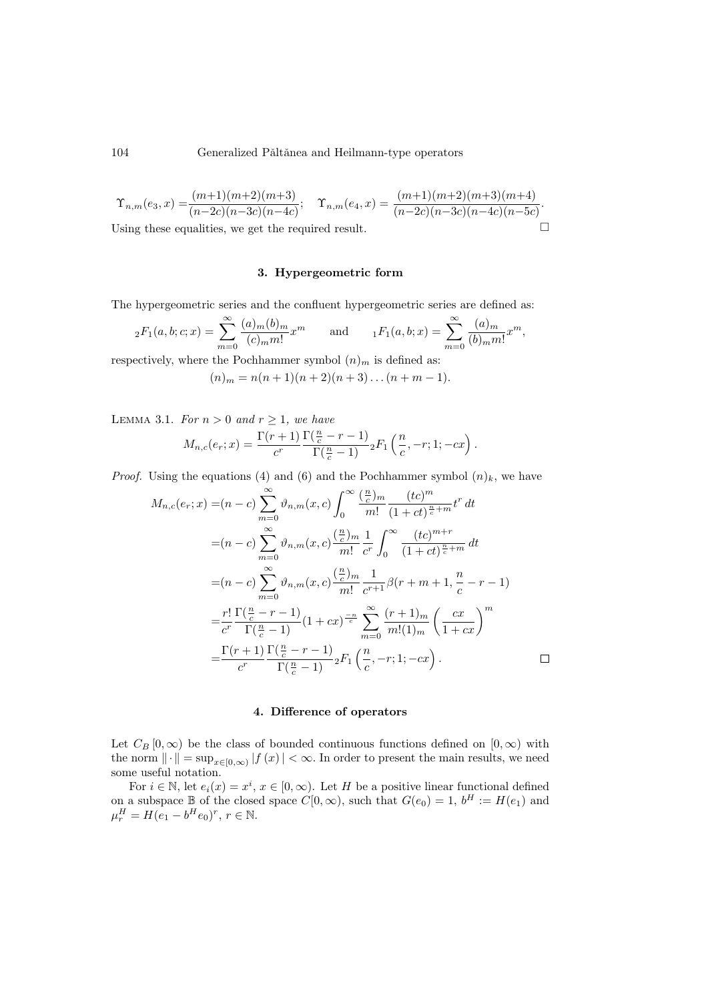### 104 Generalized Pǎltǎnea and Heilmann-type operators

$$
\Upsilon_{n,m}(e_3, x) = \frac{(m+1)(m+2)(m+3)}{(n-2c)(n-3c)(n-4c)}; \quad \Upsilon_{n,m}(e_4, x) = \frac{(m+1)(m+2)(m+3)(m+4)}{(n-2c)(n-3c)(n-4c)(n-5c)}.
$$
  
Using these equalities, we get the required result.

## 3. Hypergeometric form

The hypergeometric series and the confluent hypergeometric series are defined as:

$$
{}_{2}F_{1}(a,b;c;x) = \sum_{m=0}^{\infty} \frac{(a)_{m}(b)_{m}}{(c)_{m}m!} x^{m}
$$
 and  ${}_{1}F_{1}(a,b;x) = \sum_{m=0}^{\infty} \frac{(a)_{m}}{(b)_{m}m!} x^{m}$ ,

respectively, where the Pochhammer symbol  $(n)<sub>m</sub>$  is defined as:

$$
(n)_m = n(n+1)(n+2)(n+3)\dots(n+m-1).
$$

LEMMA 3.1. For  $n > 0$  and  $r \ge 1$ , we have

$$
M_{n,c}(e_r;x) = \frac{\Gamma(r+1)}{c^r} \frac{\Gamma(\frac{n}{c}-r-1)}{\Gamma(\frac{n}{c}-1)} {}_2F_1\left(\frac{n}{c},-r;1;-cx\right).
$$

*Proof.* Using the equations [\(4\)](#page-1-0) and [\(6\)](#page-1-2) and the Pochhammer symbol  $(n)_k$ , we have

$$
M_{n,c}(e_r; x) = (n - c) \sum_{m=0}^{\infty} \vartheta_{n,m}(x, c) \int_0^{\infty} \frac{\left(\frac{n}{c}\right)m}{m!} \frac{(tc)^m}{(1 + ct)^{\frac{n}{c} + m}} t^r dt
$$
  
\n
$$
= (n - c) \sum_{m=0}^{\infty} \vartheta_{n,m}(x, c) \frac{\left(\frac{n}{c}\right)m}{m!} \frac{1}{c^r} \int_0^{\infty} \frac{(tc)^{m+r}}{(1 + ct)^{\frac{n}{c} + m}} dt
$$
  
\n
$$
= (n - c) \sum_{m=0}^{\infty} \vartheta_{n,m}(x, c) \frac{\left(\frac{n}{c}\right)m}{m!} \frac{1}{c^{r+1}} \beta(r + m + 1, \frac{n}{c} - r - 1)
$$
  
\n
$$
= \frac{r!}{c^r} \frac{\Gamma(\frac{n}{c} - r - 1)}{\Gamma(\frac{n}{c} - 1)} (1 + cx)^{\frac{-n}{c}} \sum_{m=0}^{\infty} \frac{(r+1)m}{m!(1)m} \left(\frac{cx}{1 + cx}\right)^m
$$
  
\n
$$
= \frac{\Gamma(r+1)}{c^r} \frac{\Gamma(\frac{n}{c} - r - 1)}{\Gamma(\frac{n}{c} - 1)} {}_2F_1\left(\frac{n}{c}, -r; 1; -cx\right).
$$

### 4. Difference of operators

Let  $C_B [0, \infty)$  be the class of bounded continuous functions defined on  $[0, \infty)$  with the norm  $\|\cdot\| = \sup_{x \in [0,\infty)} |f(x)| < \infty$ . In order to present the main results, we need some useful notation.

For  $i \in \mathbb{N}$ , let  $e_i(x) = x^i, x \in [0, \infty)$ . Let H be a positive linear functional defined on a subspace  $\mathbb B$  of the closed space  $C[0,\infty)$ , such that  $G(e_0) = 1$ ,  $b^H := H(e_1)$  and  $\mu_r^H = H(e_1 - b^H e_0)^r, r \in \mathbb{N}.$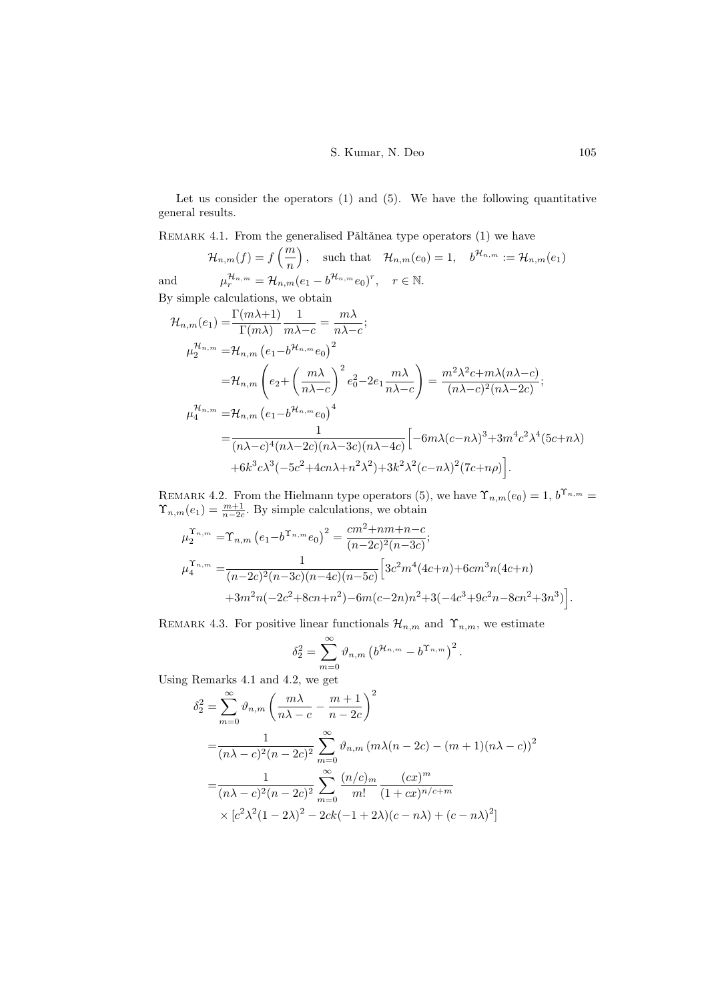Let us consider the operators [\(1\)](#page-0-1) and [\(5\)](#page-1-1). We have the following quantitative general results.

<span id="page-4-0"></span>REMARK 4.1. From the generalised Pǎltǎnea type operators  $(1)$  we have

 $\mathcal{H}_{n,m}(f) = f\left(\frac{m}{n}\right)$ n ), such that  $\mathcal{H}_{n,m}(e_0) = 1$ ,  $b^{\mathcal{H}_{n,m}} := \mathcal{H}_{n,m}(e_1)$ and  $\mathcal{H}_{n,m} = \mathcal{H}_{n,m}(e_1 - b^{\mathcal{H}_{n,m}}e_0)^r, \quad r \in \mathbb{N}.$ By simple calculations, we obtain

$$
\mathcal{H}_{n,m}(e_1) = \frac{\Gamma(m\lambda+1)}{\Gamma(m\lambda)} \frac{1}{m\lambda-c} = \frac{m\lambda}{n\lambda-c};
$$
\n
$$
\mu_2^{\mathcal{H}_{n,m}} = \mathcal{H}_{n,m} (e_1 - b^{\mathcal{H}_{n,m}} e_0)^2
$$
\n
$$
= \mathcal{H}_{n,m} \left( e_2 + \left( \frac{m\lambda}{n\lambda-c} \right)^2 e_0^2 - 2e_1 \frac{m\lambda}{n\lambda-c} \right) = \frac{m^2\lambda^2 c + m\lambda(n\lambda-c)}{(n\lambda-c)^2(n\lambda-2c)};
$$
\n
$$
\mu_4^{\mathcal{H}_{n,m}} = \mathcal{H}_{n,m} (e_1 - b^{\mathcal{H}_{n,m}} e_0)^4
$$
\n
$$
= \frac{1}{(n\lambda-c)^4 (n\lambda-2c)(n\lambda-3c)(n\lambda-4c)} \left[ -6m\lambda(c-n\lambda)^3 + 3m^4c^2\lambda^4(5c+n\lambda) + 6k^3c\lambda^3(-5c^2 + 4cn\lambda + n^2\lambda^2) + 3k^2\lambda^2(c-n\lambda)^2(7c+n\rho) \right].
$$

<span id="page-4-1"></span>REMARK 4.2. From the Hielmann type operators [\(5\)](#page-1-1), we have  $\Upsilon_{n,m}(e_0) = 1, b^{\Upsilon_{n,m}} =$  $\Upsilon_{n,m}(e_1) = \frac{m+1}{n-2c}$ . By simple calculations, we obtain

$$
\mu_2^{\Upsilon_{n,m}} = \Upsilon_{n,m} \left( e_1 - b^{\Upsilon_{n,m}} e_0 \right)^2 = \frac{cm^2 + nm + n - c}{(n - 2c)^2 (n - 3c)};
$$
\n
$$
\mu_4^{\Upsilon_{n,m}} = \frac{1}{(n - 2c)^2 (n - 3c)(n - 4c)(n - 5c)} \left[ 3c^2 m^4 (4c + n) + 6cm^3 n (4c + n) + 3m^2 n (-2c^2 + 8cn + n^2) - 6m(c - 2n)n^2 + 3(-4c^3 + 9c^2 n - 8cn^2 + 3n^3) \right].
$$

<span id="page-4-2"></span>REMARK 4.3. For positive linear functionals  $\mathcal{H}_{n,m}$  and  $\Upsilon_{n,m}$ , we estimate

$$
\delta_2^2 = \sum_{m=0}^{\infty} \vartheta_{n,m} \left( b^{\mathcal{H}_{n,m}} - b^{\Upsilon_{n,m}} \right)^2.
$$

Using Remarks [4.1](#page-4-0) and [4.2,](#page-4-1) we get

$$
\delta_2^2 = \sum_{m=0}^{\infty} \vartheta_{n,m} \left( \frac{m\lambda}{n\lambda - c} - \frac{m+1}{n-2c} \right)^2
$$
  
= 
$$
\frac{1}{(n\lambda - c)^2 (n-2c)^2} \sum_{m=0}^{\infty} \vartheta_{n,m} (m\lambda(n-2c) - (m+1)(n\lambda - c))^2
$$
  
= 
$$
\frac{1}{(n\lambda - c)^2 (n-2c)^2} \sum_{m=0}^{\infty} \frac{(n/c)_m}{m!} \frac{(cx)^m}{(1+cx)^{n/c+m}}
$$
  
\$\times [c^2\lambda^2 (1-2\lambda)^2 - 2ck(-1+2\lambda)(c-n\lambda) + (c-n\lambda)^2]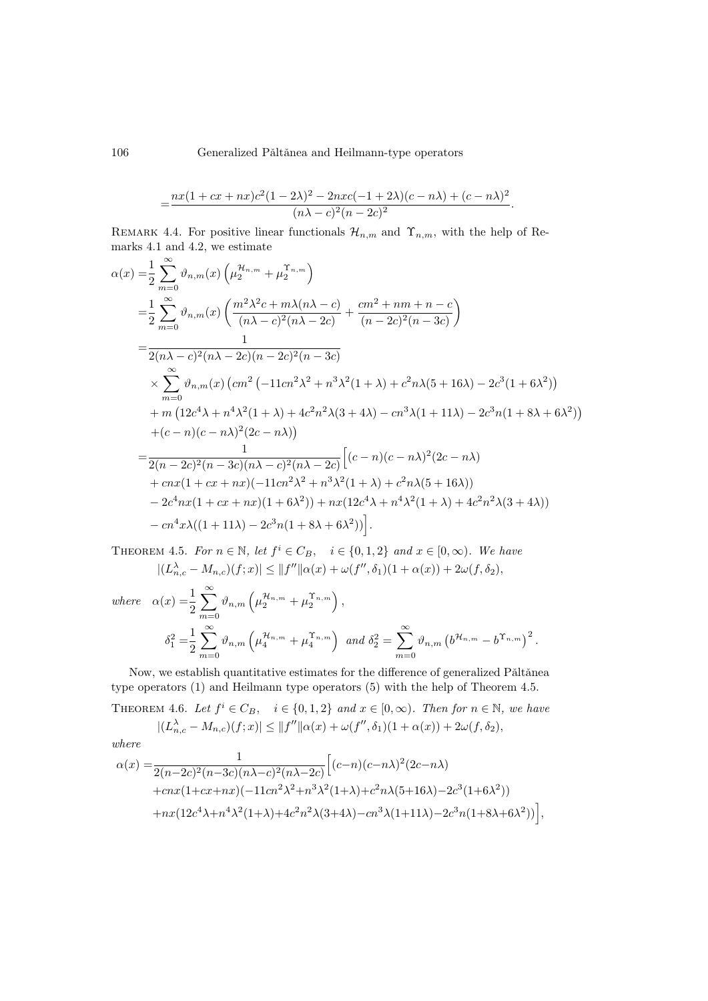106 Generalized Pǎltǎnea and Heilmann-type operators

$$
=\frac{nx(1+cx+nx)c^2(1-2\lambda)^2-2nxc(-1+2\lambda)(c-n\lambda)+(c-n\lambda)^2}{(n\lambda-c)^2(n-2c)^2}.
$$

<span id="page-5-1"></span>REMARK 4.4. For positive linear functionals  $\mathcal{H}_{n,m}$  and  $\Upsilon_{n,m}$ , with the help of Remarks [4.1](#page-4-0) and [4.2,](#page-4-1) we estimate

$$
\alpha(x) = \frac{1}{2} \sum_{m=0}^{\infty} \vartheta_{n,m}(x) \left( \mu_2^{H_{n,m}} + \mu_2^{T_{n,m}} \right)
$$
  
\n
$$
= \frac{1}{2} \sum_{m=0}^{\infty} \vartheta_{n,m}(x) \left( \frac{m^2 \lambda^2 c + m \lambda (n \lambda - c)}{(n \lambda - c)^2 (n \lambda - 2c)} + \frac{cm^2 + nm + n - c}{(n - 2c)^2 (n - 3c)} \right)
$$
  
\n
$$
= \frac{1}{2(n \lambda - c)^2 (n \lambda - 2c)(n - 2c)^2 (n - 3c)}
$$
  
\n
$$
\times \sum_{m=0}^{\infty} \vartheta_{n,m}(x) \left( cm^2 \left( -11cn^2 \lambda^2 + n^3 \lambda^2 (1 + \lambda) + c^2 n \lambda (5 + 16\lambda) - 2c^3 (1 + 6\lambda^2) \right) \right)
$$
  
\n
$$
+ m \left( 12c^4 \lambda + n^4 \lambda^2 (1 + \lambda) + 4c^2 n^2 \lambda (3 + 4\lambda) - cn^3 \lambda (1 + 11\lambda) - 2c^3 n (1 + 8\lambda + 6\lambda^2) \right)
$$
  
\n
$$
+ (c - n)(c - n\lambda)^2 (2c - n\lambda)
$$
  
\n
$$
= \frac{1}{2(n - 2c)^2 (n - 3c)(n \lambda - c)^2 (n \lambda - 2c)} \left[ (c - n)(c - n\lambda)^2 (2c - n\lambda) + cnx (1 + cx + nx) (-11cn^2 \lambda^2 + n^3 \lambda^2 (1 + \lambda) + c^2 n \lambda (5 + 16\lambda)) - 2c^4 nx (1 + cx + nx) (1 + 6\lambda^2) + nx (12c^4 \lambda + n^4 \lambda^2 (1 + \lambda) + 4c^2 n^2 \lambda (3 + 4\lambda)) - cn^4 x \lambda ((1 + 11\lambda) - 2c^3 n (1 + 8\lambda + 6\lambda^2)) \right].
$$

<span id="page-5-0"></span>THEOREM 4.5. For  $n \in \mathbb{N}$ , let  $f^i \in C_B$ ,  $i \in \{0, 1, 2\}$  and  $x \in [0, \infty)$ . We have  $|(L^{\lambda}_{n,c} - M_{n,c})(f;x)| \leq ||f''||\alpha(x) + \omega(f'', \delta_1)(1 + \alpha(x)) + 2\omega(f, \delta_2),$ 

where 
$$
\alpha(x) = \frac{1}{2} \sum_{m=0}^{\infty} \vartheta_{n,m} \left( \mu_2^{\mathcal{H}_{n,m}} + \mu_2^{\Upsilon_{n,m}} \right),
$$

$$
\delta_1^2 = \frac{1}{2} \sum_{m=0}^{\infty} \vartheta_{n,m} \left( \mu_4^{\mathcal{H}_{n,m}} + \mu_4^{\Upsilon_{n,m}} \right) \text{ and } \delta_2^2 = \sum_{m=0}^{\infty} \vartheta_{n,m} \left( b^{\mathcal{H}_{n,m}} - b^{\Upsilon_{n,m}} \right)^2.
$$

Now, we establish quantitative estimates for the difference of generalized Pǎltǎnea type operators [\(1\)](#page-0-1) and Heilmann type operators [\(5\)](#page-1-1) with the help of Theorem [4.5.](#page-5-0)

THEOREM 4.6. Let  $f^i \in C_B$ ,  $i \in \{0,1,2\}$  and  $x \in [0,\infty)$ . Then for  $n \in \mathbb{N}$ , we have  $|(L^{\lambda}_{n,c} - M_{n,c})(f;x)| \leq ||f''||\alpha(x) + \omega(f'', \delta_1)(1 + \alpha(x)) + 2\omega(f, \delta_2),$ 

where

$$
\alpha(x) = \frac{1}{2(n-2c)^2(n-3c)(n\lambda-c)^2(n\lambda-2c)} \Big[ (c-n)(c-n\lambda)^2(2c-n\lambda) + cnx(1+cx+nx)(-11cn^2\lambda^2+n^3\lambda^2(1+\lambda)+c^2n\lambda(5+16\lambda)-2c^3(1+6\lambda^2)) + nx(12c^4\lambda+n^4\lambda^2(1+\lambda)+4c^2n^2\lambda(3+4\lambda)-cn^3\lambda(1+11\lambda)-2c^3n(1+8\lambda+6\lambda^2)) \Big],
$$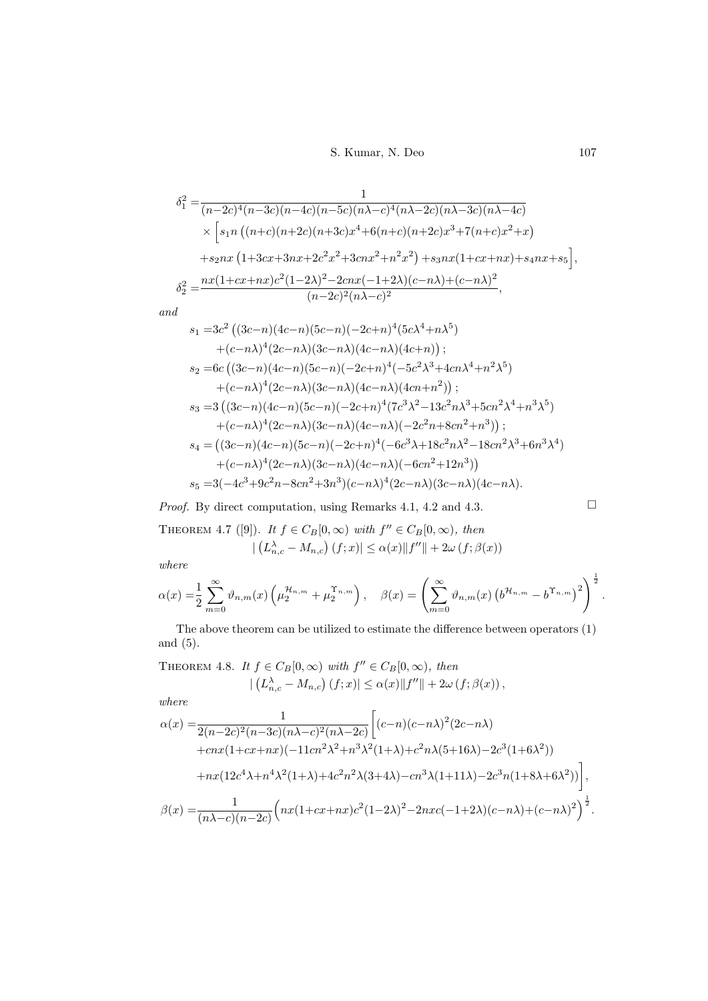S. Kumar, N. Deo 107

$$
\delta_1^2 = \frac{1}{(n-2c)^4(n-3c)(n-4c)(n-5c)(n\lambda-c)^4(n\lambda-2c)(n\lambda-3c)(n\lambda-4c)}
$$
  
 
$$
\times \left[ s_1 n \left( (n+c)(n+2c)(n+3c)x^4 + 6(n+c)(n+2c)x^3 + 7(n+c)x^2 + x \right) \right.
$$
  

$$
+ s_2 n x \left( 1+3cx+3nx+2c^2x^2+3cnx^2+n^2x^2 \right) + s_3 n x (1+cx+nx) + s_4 nx + s_5 \right],
$$
  

$$
\delta_2^2 = \frac{nx(1+cx+nx)c^2(1-2\lambda)^2 - 2cnx(-1+2\lambda)(c-n\lambda) + (c-n\lambda)^2}{(n-2c)^2(n\lambda-c)^2},
$$

and

$$
s_1 = 3c^2 ((3c-n)(4c-n)(5c-n)(-2c+n)^4(5c\lambda^4+n\lambda^5)
$$
  
+ $(c-n\lambda)^4 (2c-n\lambda)(3c-n\lambda)(4c-n\lambda)(4c+n));$   

$$
s_2 = 6c ((3c-n)(4c-n)(5c-n)(-2c+n)^4(-5c^2\lambda^3+4cn\lambda^4+n^2\lambda^5)
$$
  
+ $(c-n\lambda)^4 (2c-n\lambda)(3c-n\lambda)(4c-n\lambda)(4cn+n^2));$   

$$
s_3 = 3 ((3c-n)(4c-n)(5c-n)(-2c+n)^4(7c^3\lambda^2-13c^2n\lambda^3+5cn^2\lambda^4+n^3\lambda^5)
$$
  
+ $(c-n\lambda)^4 (2c-n\lambda)(3c-n\lambda)(4c-n\lambda)(-2c^2n+8cn^2+n^3));$   

$$
s_4 = ((3c-n)(4c-n)(5c-n)(-2c+n)^4(-6c^3\lambda+18c^2n\lambda^2-18cn^2\lambda^3+6n^3\lambda^4)
$$
  
+ $(c-n\lambda)^4 (2c-n\lambda)(3c-n\lambda)(4c-n\lambda)(-6cn^2+12n^3))$   

$$
s_5 = 3(-4c^3+9c^2n-8cn^2+3n^3)(c-n\lambda)^4(2c-n\lambda)(3c-n\lambda)(4c-n\lambda).
$$

*Proof.* By direct computation, using Remarks [4.1,](#page-4-0) [4.2](#page-4-1) and [4.3.](#page-4-2)  $\Box$ 

THEOREM4.7 ([\[9\]](#page-8-14)). It  $f \in C_B[0,\infty)$  with  $f'' \in C_B[0,\infty)$ , then  $|(L_{n,c}^{\lambda} - M_{n,c}) (f; x)| \leq \alpha(x) ||f''|| + 2\omega(f; \beta(x))$ 

where

$$
\alpha(x) = \frac{1}{2} \sum_{m=0}^{\infty} \vartheta_{n,m}(x) \left( \mu_2^{\mathcal{H}_{n,m}} + \mu_2^{\Upsilon_{n,m}} \right), \quad \beta(x) = \left( \sum_{m=0}^{\infty} \vartheta_{n,m}(x) \left( b^{\mathcal{H}_{n,m}} - b^{\Upsilon_{n,m}} \right)^2 \right)^{\frac{1}{2}}.
$$

The above theorem can be utilized to estimate the difference between operators [\(1\)](#page-0-1) and [\(5\)](#page-1-1).

THEOREM 4.8. It  $f \in C_B[0,\infty)$  with  $f'' \in C_B[0,\infty)$ , then  $|(L_{n,c}^{\lambda}-M_{n,c})(f;x)| \leq \alpha(x)||f''||+2\omega(f;\beta(x)),$ 

where

$$
\alpha(x) = \frac{1}{2(n-2c)^2(n-3c)(n\lambda-c)^2(n\lambda-2c)} \Big[ (c-n)(c-n\lambda)^2(2c-n\lambda) \n+ cnx(1+cx+nx)(-11cn^2\lambda^2+n^3\lambda^2(1+\lambda)+c^2n\lambda(5+16\lambda)-2c^3(1+6\lambda^2)) \n+ nx(12c^4\lambda+n^4\lambda^2(1+\lambda)+4c^2n^2\lambda(3+4\lambda)-cn^3\lambda(1+11\lambda)-2c^3n(1+8\lambda+6\lambda^2)) \Big],
$$
  
\n
$$
\beta(x) = \frac{1}{(n\lambda-c)(n-2c)} \Big( nx(1+cx+nx)c^2(1-2\lambda)^2-2nxc(-1+2\lambda)(c-n\lambda)+(c-n\lambda)^2 \Big)^{\frac{1}{2}}.
$$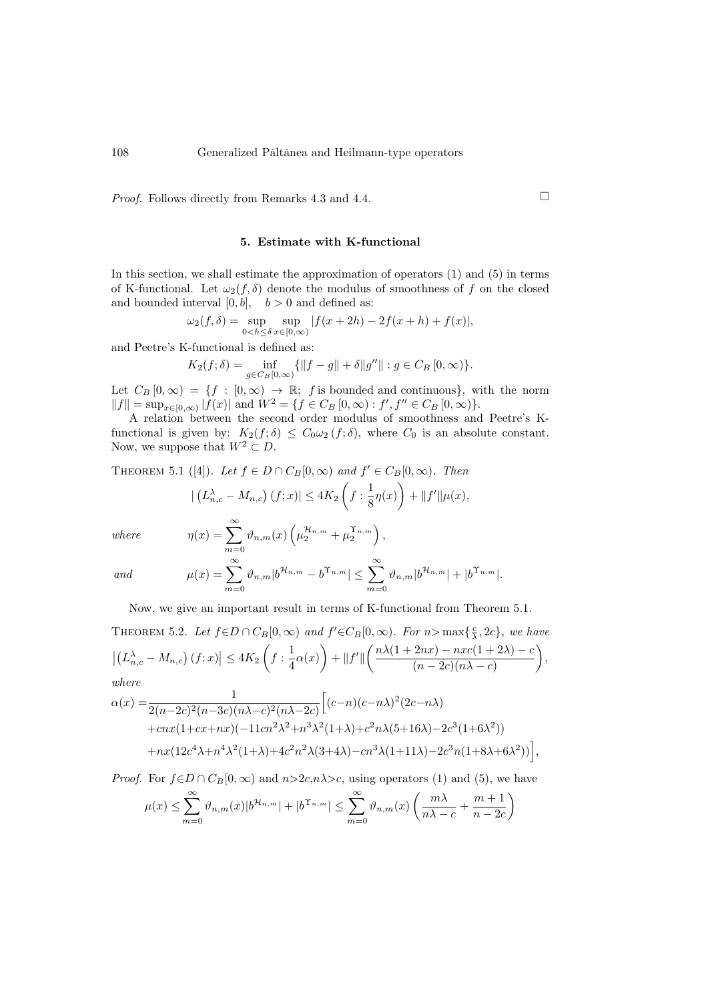*Proof.* Follows directly from Remarks [4.3](#page-4-2) and [4.4.](#page-5-1)  $\Box$ 

## 5. Estimate with K-functional

In this section, we shall estimate the approximation of operators [\(1\)](#page-0-1) and [\(5\)](#page-1-1) in terms of K-functional. Let  $\omega_2(f, \delta)$  denote the modulus of smoothness of f on the closed and bounded interval  $[0, b]$ ,  $b > 0$  and defined as:

$$
\omega_2(f, \delta) = \sup_{0 < h \le \delta} \sup_{x \in [0, \infty)} |f(x + 2h) - 2f(x + h) + f(x)|,
$$

and Peetre's K-functional is defined as:

$$
K_2(f; \delta) = \inf_{g \in C_B[0, \infty)} \{ \|f - g\| + \delta \|g''\| : g \in C_B[0, \infty) \}.
$$

Let  $C_B[0,\infty) = \{f : [0,\infty) \to \mathbb{R}; f$  is bounded and continuous}, with the norm  $||f|| = \sup_{x \in [0,\infty)} |f(x)|$  and  $W^2 = \{f \in C_B [0,\infty) : f', f'' \in C_B [0,\infty)\}.$ 

A relation between the second order modulus of smoothness and Peetre's Kfunctional is given by:  $K_2(f; \delta) \leq C_0 \omega_2(f; \delta)$ , where  $C_0$  is an absolute constant. Now, we suppose that  $W^2 \subset D$ .

<span id="page-7-0"></span>THEOREM 5.1 ([4]). Let 
$$
f \in D \cap C_B[0, \infty)
$$
 and  $f' \in C_B[0, \infty)$ . Then  
\n
$$
|\left(L_{n,c}^{\lambda} - M_{n,c}\right)(f; x)| \le 4K_2 \left(f: \frac{1}{8}\eta(x)\right) + ||f'||\mu(x),
$$

where  
\n
$$
\eta(x) = \sum_{m=0}^{\infty} \vartheta_{n,m}(x) \left( \mu_2^{\mathcal{H}_{n,m}} + \mu_2^{\Upsilon_{n,m}} \right),
$$
\n
$$
\text{and} \qquad \qquad \mu(x) = \sum_{m=0}^{\infty} \vartheta_{n,m} |b^{\mathcal{H}_{n,m}} - b^{\Upsilon_{n,m}}| \le \sum_{m=0}^{\infty} \vartheta_{n,m} |b^{\mathcal{H}_{n,m}}| + |b^{\Upsilon_{n,m}}|.
$$

Now, we give an important result in terms of K-functional from Theorem [5.1.](#page-7-0)

THEOREM 5.2. Let 
$$
f \in D \cap C_B[0, \infty)
$$
 and  $f' \in C_B[0, \infty)$ . For  $n > \max\{\frac{c}{\lambda}, 2c\}$ , we have  
\n
$$
\left| \left( L_{n,c}^{\lambda} - M_{n,c} \right) (f; x) \right| \le 4K_2 \left( f : \frac{1}{4} \alpha(x) \right) + ||f'|| \left( \frac{n\lambda(1+2nx) - nx(1+2\lambda) - c}{(n-2c)(n\lambda - c)} \right),
$$
\nwhere

$$
\alpha(x) = \frac{1}{2(n-2c)^2(n-3c)(n\lambda-c)^2(n\lambda-2c)} \Big[ (c-n)(c-n\lambda)^2(2c-n\lambda) + cnx(1+cx+nx)(-11cn^2\lambda^2+n^3\lambda^2(1+\lambda)+c^2n\lambda(5+16\lambda)-2c^3(1+6\lambda^2)) + nx(12c^4\lambda+n^4\lambda^2(1+\lambda)+4c^2n^2\lambda(3+4\lambda)-cn^3\lambda(1+11\lambda)-2c^3n(1+8\lambda+6\lambda^2)) \Big],
$$

*Proof.* For  $f \in D \cap C_B[0,\infty)$  and  $n > 2c, n \lambda > c$ , using operators [\(1\)](#page-0-1) and [\(5\)](#page-1-1), we have

$$
\mu(x) \le \sum_{m=0}^{\infty} \vartheta_{n,m}(x) |b^{\mathcal{H}_{n,m}}| + |b^{\Upsilon_{n,m}}| \le \sum_{m=0}^{\infty} \vartheta_{n,m}(x) \left(\frac{m\lambda}{n\lambda - c} + \frac{m+1}{n-2c}\right)
$$